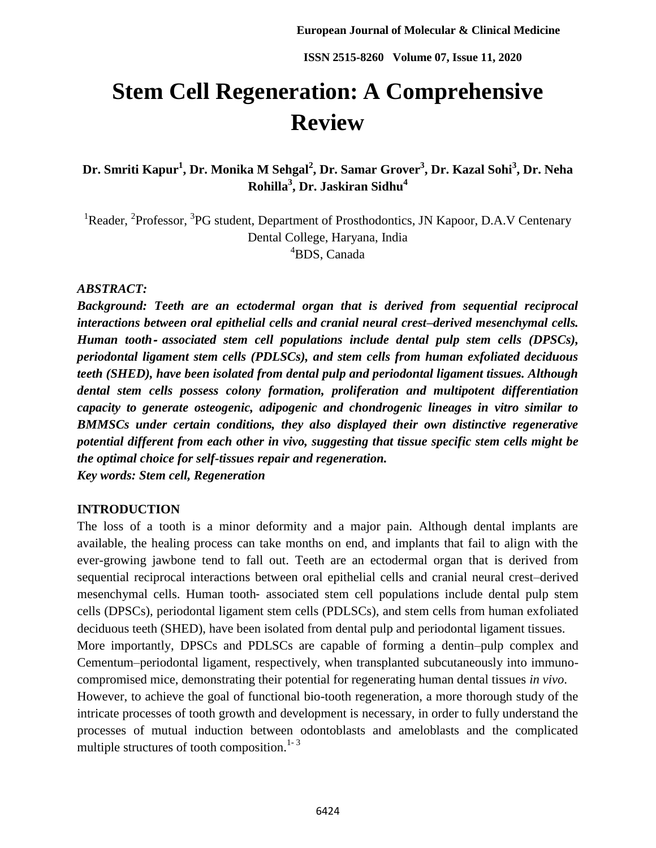# **Stem Cell Regeneration: A Comprehensive Review**

**Dr. Smriti Kapur<sup>1</sup> , Dr. Monika M Sehgal<sup>2</sup> , Dr. Samar Grover<sup>3</sup> , Dr. Kazal Sohi<sup>3</sup> , Dr. Neha Rohilla<sup>3</sup> , Dr. Jaskiran Sidhu<sup>4</sup>**

<sup>1</sup>Reader, <sup>2</sup>Professor, <sup>3</sup>PG student, Department of Prosthodontics, JN Kapoor, D.A.V Centenary Dental College, Haryana, India <sup>4</sup>BDS, Canada

#### *ABSTRACT:*

*Background: Teeth are an ectodermal organ that is derived from sequential reciprocal interactions between oral epithelial cells and cranial neural crest–derived mesenchymal cells. Human tooth*‐ *associated stem cell populations include dental pulp stem cells (DPSCs), periodontal ligament stem cells (PDLSCs), and stem cells from human exfoliated deciduous teeth (SHED), have been isolated from dental pulp and periodontal ligament tissues. Although dental stem cells possess colony formation, proliferation and multipotent differentiation capacity to generate osteogenic, adipogenic and chondrogenic lineages in vitro similar to BMMSCs under certain conditions, they also displayed their own distinctive regenerative potential different from each other in vivo, suggesting that tissue specific stem cells might be the optimal choice for self-tissues repair and regeneration.* 

*Key words: Stem cell, Regeneration*

#### **INTRODUCTION**

The loss of a tooth is a minor deformity and a major pain. Although dental implants are available, the healing process can take months on end, and implants that fail to align with the ever-growing jawbone tend to fall out. Teeth are an ectodermal organ that is derived from sequential reciprocal interactions between oral epithelial cells and cranial neural crest–derived mesenchymal cells. Human tooth‐ associated stem cell populations include dental pulp stem cells (DPSCs), periodontal ligament stem cells (PDLSCs), and stem cells from human exfoliated deciduous teeth (SHED), have been isolated from dental pulp and periodontal ligament tissues. More importantly, DPSCs and PDLSCs are capable of forming a dentin–pulp complex and Cementum–periodontal ligament, respectively, when transplanted subcutaneously into immunocompromised mice, demonstrating their potential for regenerating human dental tissues *in vivo*. However, to achieve the goal of functional bio-tooth regeneration, a more thorough study of the intricate processes of tooth growth and development is necessary, in order to fully understand the processes of mutual induction between odontoblasts and ameloblasts and the complicated multiple structures of tooth composition. $1-3$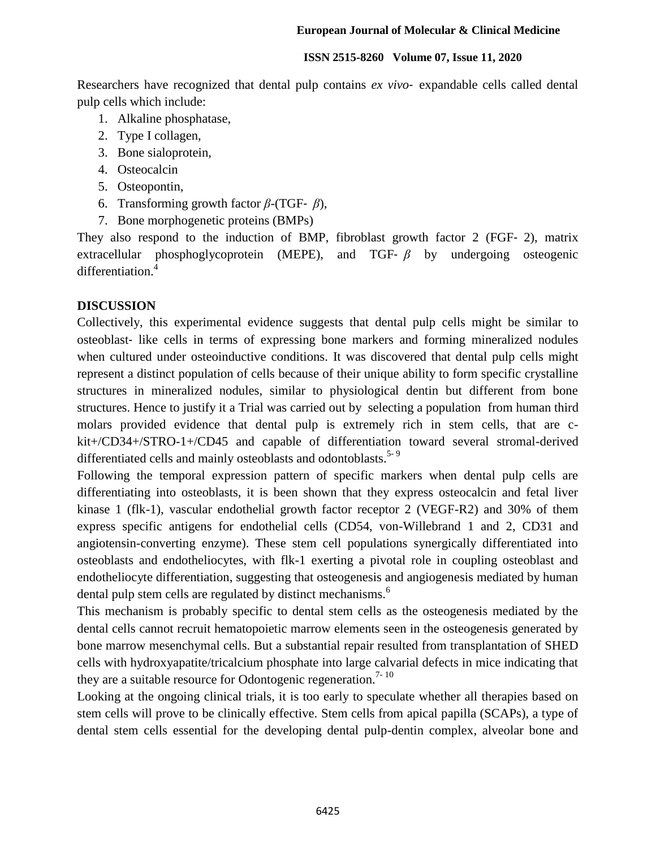Researchers have recognized that dental pulp contains *ex vivo*- expandable cells called dental pulp cells which include:

- 1. Alkaline phosphatase,
- 2. Type I collagen,
- 3. Bone sialoprotein,
- 4. Osteocalcin
- 5. Osteopontin,
- 6. Transforming growth factor *β-*(TGF‐ *β*),
- 7. Bone morphogenetic proteins (BMPs)

They also respond to the induction of BMP, fibroblast growth factor 2 (FGF‐ 2), matrix extracellular phosphoglycoprotein (MEPE), and TGF- $\beta$  by undergoing osteogenic differentiation.<sup>4</sup>

# **DISCUSSION**

Collectively, this experimental evidence suggests that dental pulp cells might be similar to osteoblast‐ like cells in terms of expressing bone markers and forming mineralized nodules when cultured under osteoinductive conditions. It was discovered that dental pulp cells might represent a distinct population of cells because of their unique ability to form specific crystalline structures in mineralized nodules, similar to physiological dentin but different from bone structures. Hence to justify it a Trial was carried out by selecting a population from human third molars provided evidence that dental pulp is extremely rich in stem cells, that are ckit+/CD34+/STRO-1+/CD45 and capable of differentiation toward several stromal-derived differentiated cells and mainly osteoblasts and odontoblasts.<sup>5-9</sup>

Following the temporal expression pattern of specific markers when dental pulp cells are differentiating into osteoblasts, it is been shown that they express osteocalcin and fetal liver kinase 1 (flk-1), vascular endothelial growth factor receptor 2 (VEGF-R2) and 30% of them express specific antigens for endothelial cells (CD54, von-Willebrand 1 and 2, CD31 and angiotensin-converting enzyme). These stem cell populations synergically differentiated into osteoblasts and endotheliocytes, with flk-1 exerting a pivotal role in coupling osteoblast and endotheliocyte differentiation, suggesting that osteogenesis and angiogenesis mediated by human dental pulp stem cells are regulated by distinct mechanisms.<sup>6</sup>

This mechanism is probably specific to dental stem cells as the osteogenesis mediated by the dental cells cannot recruit hematopoietic marrow elements seen in the osteogenesis generated by bone marrow mesenchymal cells. But a substantial repair resulted from transplantation of SHED cells with hydroxyapatite/tricalcium phosphate into large calvarial defects in mice indicating that they are a suitable resource for Odontogenic regeneration.<sup>7-10</sup>

Looking at the ongoing clinical trials, it is too early to speculate whether all therapies based on stem cells will prove to be clinically effective. Stem cells from apical papilla (SCAPs), a type of dental stem cells essential for the developing dental pulp-dentin complex, alveolar bone and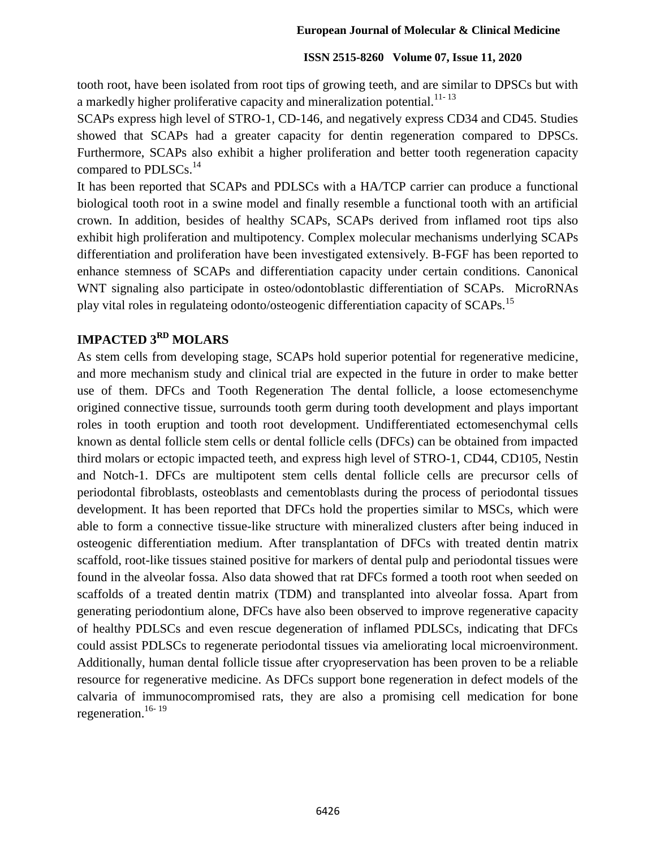tooth root, have been isolated from root tips of growing teeth, and are similar to DPSCs but with a markedly higher proliferative capacity and mineralization potential.<sup>11-13</sup>

SCAPs express high level of STRO-1, CD-146, and negatively express CD34 and CD45. Studies showed that SCAPs had a greater capacity for dentin regeneration compared to DPSCs. Furthermore, SCAPs also exhibit a higher proliferation and better tooth regeneration capacity compared to PDLSCs.<sup>14</sup>

It has been reported that SCAPs and PDLSCs with a HA/TCP carrier can produce a functional biological tooth root in a swine model and finally resemble a functional tooth with an artificial crown. In addition, besides of healthy SCAPs, SCAPs derived from inflamed root tips also exhibit high proliferation and multipotency. Complex molecular mechanisms underlying SCAPs differentiation and proliferation have been investigated extensively. Β-FGF has been reported to enhance stemness of SCAPs and differentiation capacity under certain conditions. Canonical WNT signaling also participate in osteo/odontoblastic differentiation of SCAPs. MicroRNAs play vital roles in regulateing odonto/osteogenic differentiation capacity of SCAPs.<sup>15</sup>

# **IMPACTED 3RD MOLARS**

As stem cells from developing stage, SCAPs hold superior potential for regenerative medicine, and more mechanism study and clinical trial are expected in the future in order to make better use of them. DFCs and Tooth Regeneration The dental follicle, a loose ectomesenchyme origined connective tissue, surrounds tooth germ during tooth development and plays important roles in tooth eruption and tooth root development. Undifferentiated ectomesenchymal cells known as dental follicle stem cells or dental follicle cells (DFCs) can be obtained from impacted third molars or ectopic impacted teeth, and express high level of STRO-1, CD44, CD105, Nestin and Notch-1. DFCs are multipotent stem cells dental follicle cells are precursor cells of periodontal fibroblasts, osteoblasts and cementoblasts during the process of periodontal tissues development. It has been reported that DFCs hold the properties similar to MSCs, which were able to form a connective tissue-like structure with mineralized clusters after being induced in osteogenic differentiation medium. After transplantation of DFCs with treated dentin matrix scaffold, root-like tissues stained positive for markers of dental pulp and periodontal tissues were found in the alveolar fossa. Also data showed that rat DFCs formed a tooth root when seeded on scaffolds of a treated dentin matrix (TDM) and transplanted into alveolar fossa. Apart from generating periodontium alone, DFCs have also been observed to improve regenerative capacity of healthy PDLSCs and even rescue degeneration of inflamed PDLSCs, indicating that DFCs could assist PDLSCs to regenerate periodontal tissues via ameliorating local microenvironment. Additionally, human dental follicle tissue after cryopreservation has been proven to be a reliable resource for regenerative medicine. As DFCs support bone regeneration in defect models of the calvaria of immunocompromised rats, they are also a promising cell medication for bone regeneration. 16- 19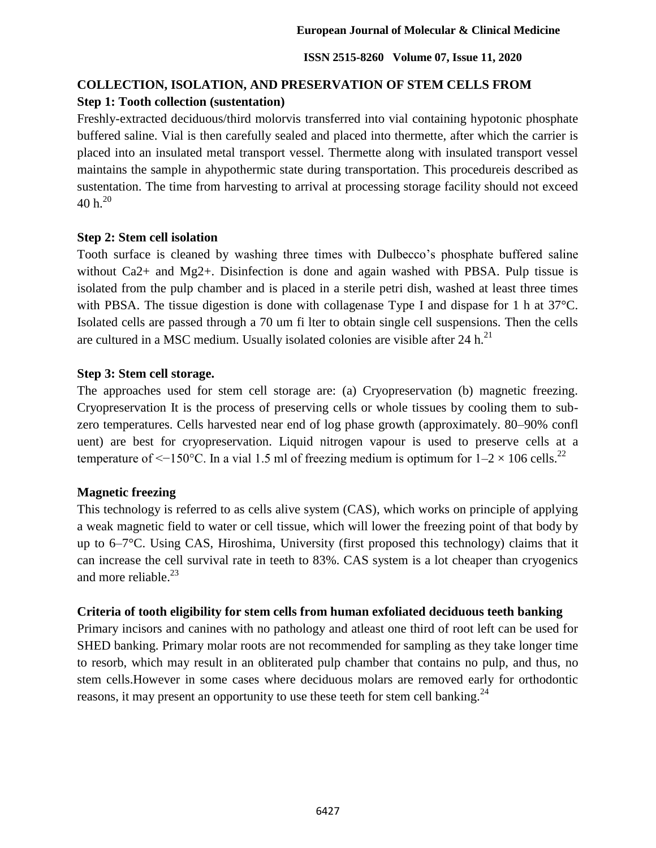# **COLLECTION, ISOLATION, AND PRESERVATION OF STEM CELLS FROM Step 1: Tooth collection (sustentation)**

Freshly-extracted deciduous/third molorvis transferred into vial containing hypotonic phosphate buffered saline. Vial is then carefully sealed and placed into thermette, after which the carrier is placed into an insulated metal transport vessel. Thermette along with insulated transport vessel maintains the sample in ahypothermic state during transportation. This procedureis described as sustentation. The time from harvesting to arrival at processing storage facility should not exceed 40 h. $^{20}$ 

## **Step 2: Stem cell isolation**

Tooth surface is cleaned by washing three times with Dulbecco's phosphate buffered saline without Ca2+ and Mg2+. Disinfection is done and again washed with PBSA. Pulp tissue is isolated from the pulp chamber and is placed in a sterile petri dish, washed at least three times with PBSA. The tissue digestion is done with collagenase Type I and dispase for 1 h at 37<sup>o</sup>C. Isolated cells are passed through a 70 um fi lter to obtain single cell suspensions. Then the cells are cultured in a MSC medium. Usually isolated colonies are visible after  $24 \text{ h}^{21}$ .

## **Step 3: Stem cell storage.**

The approaches used for stem cell storage are: (a) Cryopreservation (b) magnetic freezing. Cryopreservation It is the process of preserving cells or whole tissues by cooling them to subzero temperatures. Cells harvested near end of log phase growth (approximately. 80–90% confl uent) are best for cryopreservation. Liquid nitrogen vapour is used to preserve cells at a temperature of <−150°C. In a vial 1.5 ml of freezing medium is optimum for  $1-2 \times 106$  cells.<sup>22</sup>

# **Magnetic freezing**

This technology is referred to as cells alive system (CAS), which works on principle of applying a weak magnetic field to water or cell tissue, which will lower the freezing point of that body by up to 6–7°C. Using CAS, Hiroshima, University (first proposed this technology) claims that it can increase the cell survival rate in teeth to 83%. CAS system is a lot cheaper than cryogenics and more reliable. $^{23}$ 

#### **Criteria of tooth eligibility for stem cells from human exfoliated deciduous teeth banking**

Primary incisors and canines with no pathology and atleast one third of root left can be used for SHED banking. Primary molar roots are not recommended for sampling as they take longer time to resorb, which may result in an obliterated pulp chamber that contains no pulp, and thus, no stem cells.However in some cases where deciduous molars are removed early for orthodontic reasons, it may present an opportunity to use these teeth for stem cell banking.<sup>24</sup>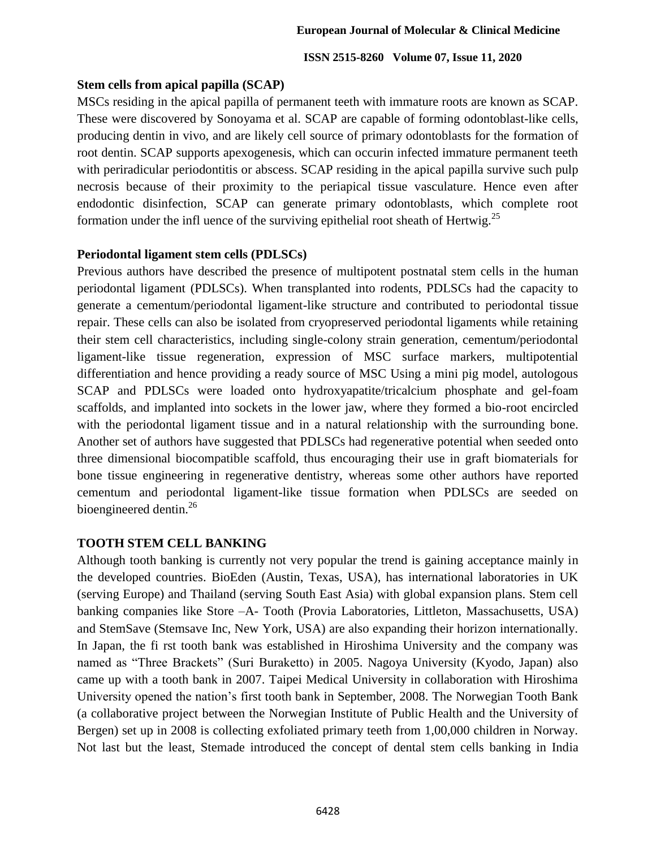## **Stem cells from apical papilla (SCAP)**

MSCs residing in the apical papilla of permanent teeth with immature roots are known as SCAP. These were discovered by Sonoyama et al. SCAP are capable of forming odontoblast-like cells, producing dentin in vivo, and are likely cell source of primary odontoblasts for the formation of root dentin. SCAP supports apexogenesis, which can occurin infected immature permanent teeth with periradicular periodontitis or abscess. SCAP residing in the apical papilla survive such pulp necrosis because of their proximity to the periapical tissue vasculature. Hence even after endodontic disinfection, SCAP can generate primary odontoblasts, which complete root formation under the infl uence of the surviving epithelial root sheath of Hertwig.<sup>25</sup>

## **Periodontal ligament stem cells (PDLSCs)**

Previous authors have described the presence of multipotent postnatal stem cells in the human periodontal ligament (PDLSCs). When transplanted into rodents, PDLSCs had the capacity to generate a cementum/periodontal ligament-like structure and contributed to periodontal tissue repair. These cells can also be isolated from cryopreserved periodontal ligaments while retaining their stem cell characteristics, including single-colony strain generation, cementum/periodontal ligament-like tissue regeneration, expression of MSC surface markers, multipotential differentiation and hence providing a ready source of MSC Using a mini pig model, autologous SCAP and PDLSCs were loaded onto hydroxyapatite/tricalcium phosphate and gel-foam scaffolds, and implanted into sockets in the lower jaw, where they formed a bio-root encircled with the periodontal ligament tissue and in a natural relationship with the surrounding bone. Another set of authors have suggested that PDLSCs had regenerative potential when seeded onto three dimensional biocompatible scaffold, thus encouraging their use in graft biomaterials for bone tissue engineering in regenerative dentistry, whereas some other authors have reported cementum and periodontal ligament-like tissue formation when PDLSCs are seeded on bioengineered dentin.<sup>26</sup>

# **TOOTH STEM CELL BANKING**

Although tooth banking is currently not very popular the trend is gaining acceptance mainly in the developed countries. BioEden (Austin, Texas, USA), has international laboratories in UK (serving Europe) and Thailand (serving South East Asia) with global expansion plans. Stem cell banking companies like Store –A- Tooth (Provia Laboratories, Littleton, Massachusetts, USA) and StemSave (Stemsave Inc, New York, USA) are also expanding their horizon internationally. In Japan, the fi rst tooth bank was established in Hiroshima University and the company was named as "Three Brackets" (Suri Buraketto) in 2005. Nagoya University (Kyodo, Japan) also came up with a tooth bank in 2007. Taipei Medical University in collaboration with Hiroshima University opened the nation's first tooth bank in September, 2008. The Norwegian Tooth Bank (a collaborative project between the Norwegian Institute of Public Health and the University of Bergen) set up in 2008 is collecting exfoliated primary teeth from 1,00,000 children in Norway. Not last but the least, Stemade introduced the concept of dental stem cells banking in India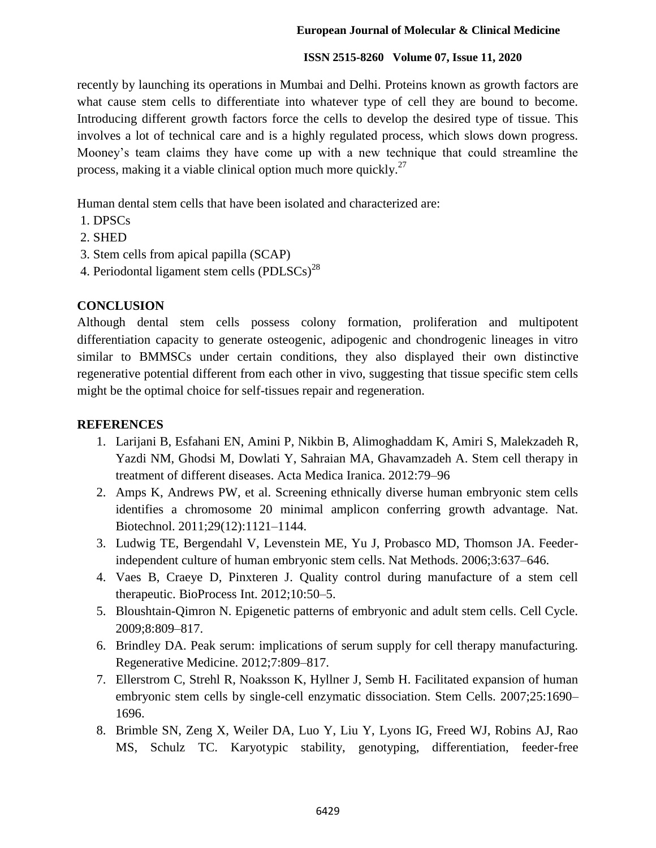recently by launching its operations in Mumbai and Delhi. Proteins known as growth factors are what cause stem cells to differentiate into whatever type of cell they are bound to become. Introducing different growth factors force the cells to develop the desired type of tissue. This involves a lot of technical care and is a highly regulated process, which slows down progress. Mooney's team claims they have come up with a new technique that could streamline the process, making it a viable clinical option much more quickly.<sup>27</sup>

Human dental stem cells that have been isolated and characterized are:

- 1. DPSCs
- 2. SHED
- 3. Stem cells from apical papilla (SCAP)
- 4. Periodontal ligament stem cells  $(PDLSCs)^{28}$

# **CONCLUSION**

Although dental stem cells possess colony formation, proliferation and multipotent differentiation capacity to generate osteogenic, adipogenic and chondrogenic lineages in vitro similar to BMMSCs under certain conditions, they also displayed their own distinctive regenerative potential different from each other in vivo, suggesting that tissue specific stem cells might be the optimal choice for self-tissues repair and regeneration.

# **REFERENCES**

- 1. Larijani B, Esfahani EN, Amini P, Nikbin B, Alimoghaddam K, Amiri S, Malekzadeh R, Yazdi NM, Ghodsi M, Dowlati Y, Sahraian MA, Ghavamzadeh A. Stem cell therapy in treatment of different diseases. Acta Medica Iranica. 2012:79–96
- 2. Amps K, Andrews PW, et al. Screening ethnically diverse human embryonic stem cells identifies a chromosome 20 minimal amplicon conferring growth advantage. Nat. Biotechnol. 2011;29(12):1121–1144.
- 3. Ludwig TE, Bergendahl V, Levenstein ME, Yu J, Probasco MD, Thomson JA. Feederindependent culture of human embryonic stem cells. Nat Methods. 2006;3:637–646.
- 4. Vaes B, Craeye D, Pinxteren J. Quality control during manufacture of a stem cell therapeutic. BioProcess Int. 2012;10:50–5.
- 5. Bloushtain-Qimron N. Epigenetic patterns of embryonic and adult stem cells. Cell Cycle. 2009;8:809–817.
- 6. Brindley DA. Peak serum: implications of serum supply for cell therapy manufacturing. Regenerative Medicine. 2012;7:809–817.
- 7. Ellerstrom C, Strehl R, Noaksson K, Hyllner J, Semb H. Facilitated expansion of human embryonic stem cells by single-cell enzymatic dissociation. Stem Cells. 2007;25:1690– 1696.
- 8. Brimble SN, Zeng X, Weiler DA, Luo Y, Liu Y, Lyons IG, Freed WJ, Robins AJ, Rao MS, Schulz TC. Karyotypic stability, genotyping, differentiation, feeder-free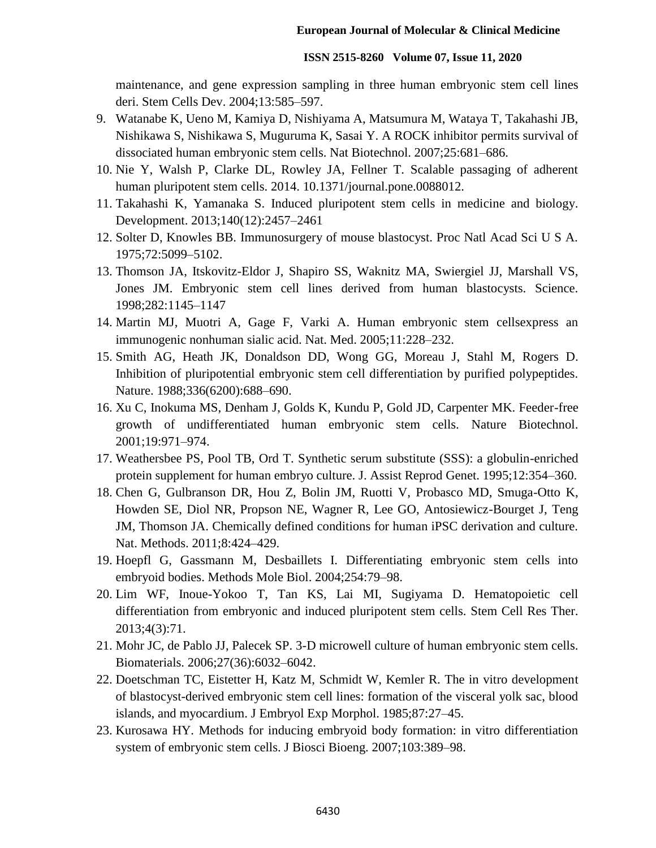maintenance, and gene expression sampling in three human embryonic stem cell lines deri. Stem Cells Dev. 2004;13:585–597.

- 9. Watanabe K, Ueno M, Kamiya D, Nishiyama A, Matsumura M, Wataya T, Takahashi JB, Nishikawa S, Nishikawa S, Muguruma K, Sasai Y. A ROCK inhibitor permits survival of dissociated human embryonic stem cells. Nat Biotechnol. 2007;25:681–686.
- 10. Nie Y, Walsh P, Clarke DL, Rowley JA, Fellner T. Scalable passaging of adherent human pluripotent stem cells. 2014. 10.1371/journal.pone.0088012.
- 11. Takahashi K, Yamanaka S. Induced pluripotent stem cells in medicine and biology. Development. 2013;140(12):2457–2461
- 12. Solter D, Knowles BB. Immunosurgery of mouse blastocyst. Proc Natl Acad Sci U S A. 1975;72:5099–5102.
- 13. Thomson JA, Itskovitz-Eldor J, Shapiro SS, Waknitz MA, Swiergiel JJ, Marshall VS, Jones JM. Embryonic stem cell lines derived from human blastocysts. Science. 1998;282:1145–1147
- 14. Martin MJ, Muotri A, Gage F, Varki A. Human embryonic stem cellsexpress an immunogenic nonhuman sialic acid. Nat. Med. 2005;11:228–232.
- 15. Smith AG, Heath JK, Donaldson DD, Wong GG, Moreau J, Stahl M, Rogers D. Inhibition of pluripotential embryonic stem cell differentiation by purified polypeptides. Nature. 1988;336(6200):688–690.
- 16. Xu C, Inokuma MS, Denham J, Golds K, Kundu P, Gold JD, Carpenter MK. Feeder-free growth of undifferentiated human embryonic stem cells. Nature Biotechnol. 2001;19:971–974.
- 17. Weathersbee PS, Pool TB, Ord T. Synthetic serum substitute (SSS): a globulin-enriched protein supplement for human embryo culture. J. Assist Reprod Genet. 1995;12:354–360.
- 18. Chen G, Gulbranson DR, Hou Z, Bolin JM, Ruotti V, Probasco MD, Smuga-Otto K, Howden SE, Diol NR, Propson NE, Wagner R, Lee GO, Antosiewicz-Bourget J, Teng JM, Thomson JA. Chemically defined conditions for human iPSC derivation and culture. Nat. Methods. 2011;8:424–429.
- 19. Hoepfl G, Gassmann M, Desbaillets I. Differentiating embryonic stem cells into embryoid bodies. Methods Mole Biol. 2004;254:79–98.
- 20. Lim WF, Inoue-Yokoo T, Tan KS, Lai MI, Sugiyama D. Hematopoietic cell differentiation from embryonic and induced pluripotent stem cells. Stem Cell Res Ther. 2013;4(3):71.
- 21. Mohr JC, de Pablo JJ, Palecek SP. 3-D microwell culture of human embryonic stem cells. Biomaterials. 2006;27(36):6032–6042.
- 22. Doetschman TC, Eistetter H, Katz M, Schmidt W, Kemler R. The in vitro development of blastocyst-derived embryonic stem cell lines: formation of the visceral yolk sac, blood islands, and myocardium. J Embryol Exp Morphol. 1985;87:27–45.
- 23. Kurosawa HY. Methods for inducing embryoid body formation: in vitro differentiation system of embryonic stem cells. J Biosci Bioeng. 2007;103:389–98.